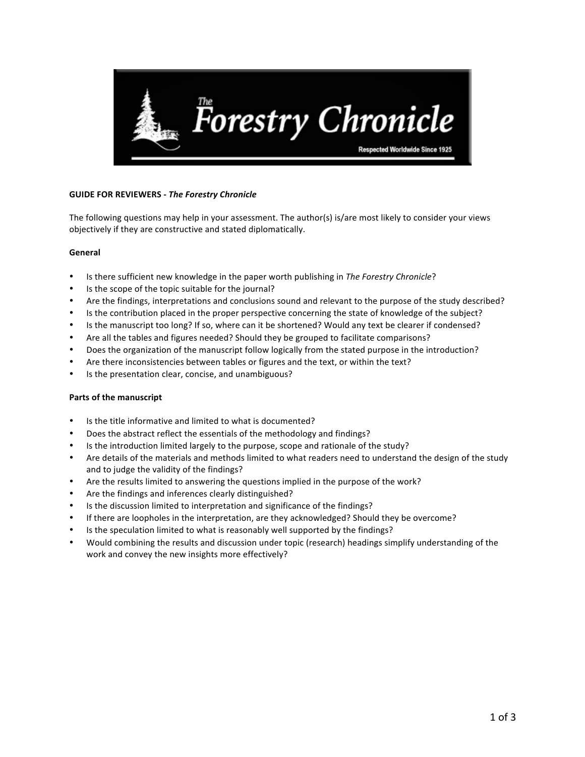

## **GUIDE FOR REVIEWERS - The Forestry Chronicle**

The following questions may help in your assessment. The author(s) is/are most likely to consider your views objectively if they are constructive and stated diplomatically.

## **General**

- Is there sufficient new knowledge in the paper worth publishing in *The Forestry Chronicle*?
- Is the scope of the topic suitable for the journal?
- Are the findings, interpretations and conclusions sound and relevant to the purpose of the study described?
- Is the contribution placed in the proper perspective concerning the state of knowledge of the subject?
- Is the manuscript too long? If so, where can it be shortened? Would any text be clearer if condensed?
- Are all the tables and figures needed? Should they be grouped to facilitate comparisons?
- Does the organization of the manuscript follow logically from the stated purpose in the introduction?
- Are there inconsistencies between tables or figures and the text, or within the text?
- Is the presentation clear, concise, and unambiguous?

## **Parts of the manuscript**

- Is the title informative and limited to what is documented?
- Does the abstract reflect the essentials of the methodology and findings?
- Is the introduction limited largely to the purpose, scope and rationale of the study?
- Are details of the materials and methods limited to what readers need to understand the design of the study and to judge the validity of the findings?
- Are the results limited to answering the questions implied in the purpose of the work?
- Are the findings and inferences clearly distinguished?
- Is the discussion limited to interpretation and significance of the findings?
- If there are loopholes in the interpretation, are they acknowledged? Should they be overcome?
- Is the speculation limited to what is reasonably well supported by the findings?
- Would combining the results and discussion under topic (research) headings simplify understanding of the work and convey the new insights more effectively?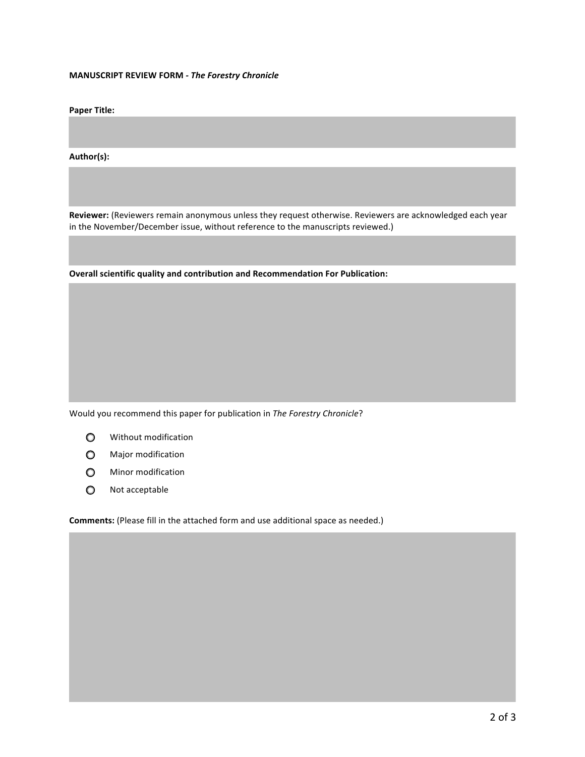#### **MANUSCRIPT REVIEW FORM** - The Forestry Chronicle

**Paper Title:** 

**Author(s):**

Reviewer: (Reviewers remain anonymous unless they request otherwise. Reviewers are acknowledged each year in the November/December issue, without reference to the manuscripts reviewed.)

**Overall scientific quality and contribution and Recommendation For Publication:** 

Would you recommend this paper for publication in *The Forestry Chronicle*?

- $\circ$ Without modification
- $\circ$ Major modification
- $\circ$ Minor modification
- Not acceptable  $\circ$

**Comments:** (Please fill in the attached form and use additional space as needed.)